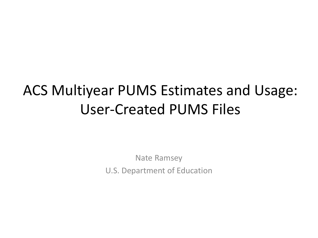## ACS Multiyear PUMS Estimates and Usage: User-Created PUMS Files

Nate Ramsey U.S. Department of Education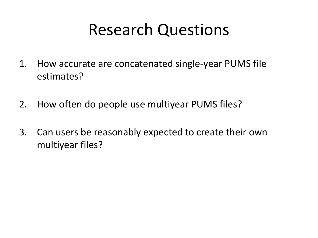## Research Questions

- 1. How accurate are concatenated single-year PUMS file estimates?
- 2. How often do people use multiyear PUMS files?
- 3. Can users be reasonably expected to create their own multiyear files?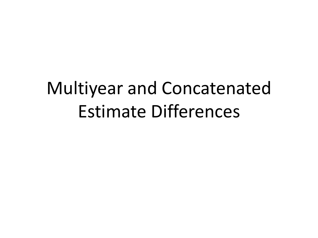# Multiyear and Concatenated Estimate Differences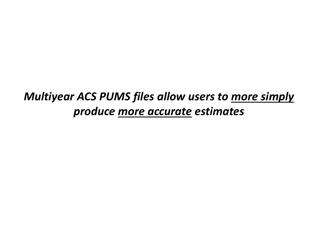#### *Multiyear ACS PUMS files allow users to more simply produce more accurate estimates*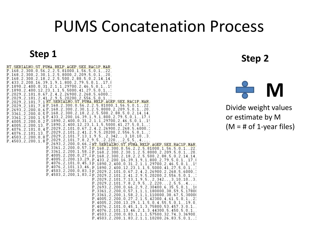## PUMS Concatenation Process

RT, SERIALNO, ST, PUMA, RELP, AGEP, SEX, RAC1P, MAR,  $P, 168, 2, 300, 0, 56, 2, 2, 5, 81000, 1, 56, 5, 0, 1, 22,$ P, 168, 2, 300, 2, 30, 1, 2, 5, 8000, 2, 209, 5, 0, 1, , 20, P, 168, 2, 300, 2, 18, 2, 2, 5, 500, 2, 88, 5, 0, 2, 14, 14 P, 433, 2, 200, 16, 39, 1, 9, 1, 800, 2, 79, 5, 0, 1, , 17, 8 P, 1890, 2, 400, 0, 31, 2, 1, 1, 29700, 2, 46, 5, 0, 1 P, 1890, 2, 400, 12, 23, 1, 1, 5, 5000, 41, 27,  $5.0.1$ P, 2029, 2, 101, 0, 67, 2, 4, 2, 26900, 2, 268, 5, 6000, P, 2029, 2, 101, 2, 41, 2, 9, 5, 20200, 2, 556, 5, 0, 1 P. 2029. 2.101. 7.1 RT. SERIALNO. ST. PUMA. RELP. AGEP. SEX. RAC1P. MAR.  $P. 2029.2.101.7.8 P. 168.2.300.0.56.2.2.5.81000.1.56.5.0.1$  $P(2693, 2, 200, 0, 6 P, 168, 2, 300, 2, 30, 1, 2, 5, 8000, 2, 209, 5, 0, 1, 20)$ P. 3361.2.200.0.5 P. 168.2.300.2.18.2.2.5.500.2.88.5.0.2.14.14  $(3361, 2, 200, 1, 5 \text{ P}$ , 433, 2, 200, 16, 39, 1, 9 ,1,800,2,79,5, ,0,1,,17,{  $P(4005, 2, 200, 0, 2, P, 1890, 2, 400, 0, 31, 2, 1, 1, 29700, 2, 46, 5, 0, 1)$  $P, 4005, 2, 200, 13, P, 1890, 2, 400, 12, 23, 1, 1, 5, 5000, 41$  $27, 5, 0, 1$ P, 4076, 2, 101, 0, 4 P, 2029, 2, 101, 0, 67 2.  $4, 2,$ .26900.2. 268,5,6000  $P(4076, 2, 101, 13, P.2029, 2, 101, 2, 41)$ 2, 9, 5, 20200, 2, 556, 5, 0, 1, P 4503 2 200 0 6 P 2029 2 101 7 13 9.5 2,342  $3, 10, 10, 3,$  $P, 4503, 2, 200, 1, 8$   $P, 2029, 2, 101, 7, 8, 2, 9, 5$ 2,220  $5,5$ P. 2693.2.200.0.66.2RT. SERIALNO. ST. FUMA. RELP. AGEP. SEX. RAC1P. MAR. P. 3361.2.200.0.57.1P. 168.2.300.0.56.2.2.5.81000.1.56.5.0.1..22 P. 3361.2.200.1.58.2P.168.2.300.2.30.1.2.5.8000.2.209.5.0.1.20 P. 4005.2.200.0.27.2P.168.2.300.2.18.2.2.5.500.2.88.5.0.2.14.14 P.4005.2.200.13.29, P.433.2.200.16.39.1.9.1.800.2.79.5.0.1.17.8  $P, 4076, 2, 101, 0, 45, 1P, 1890, 2, 400, 0, 31, 2, 1, 1, 29700, 2, 46, 5, 0, 1, 1, 1$ P. 4076.2.101.13.46. P. 1890.2.400.12.23.1.1.5.5000.41.27. P. 4503.2.200.0.83.1P. 2029.2.101.0.67.2.4.2.26900.2.268.5.6000.  $P, 4503, 2, 200, 1, 83, 2\overline{P}$ , 2029, 2, 101, 2, 41, 2, 9, 5, 20200, 2, 556, 5, 0, 1, P. 2029.2.101.7.13.1.9.5  $2,342$  $,3,10,10,$ , 3  $P, 2029, 2, 101, 7, 8, 2, 9, 5,$  $2,220,7$ -2. . 5 , 5  $P, 2693, 2, 200, 0, 66, 2, 9, 2, 30400, 6, 35, 5, 0, 1, 16$ P, 3361, 2, 200, 0, 57, 1, 1, 1, 180000, 38, 59, 5, 17800 P, 3361, 2, 200, 1, 58, 2, 1, 1, 110000, 38, 67, 5, 3000( P, 4005, 2, 200, 0, 27, 2, 1, 5, 42300, 4, 61, 5, 0, 1, , 2:  $P, 4005, 2, 200, 13, 29, 1, 1, 5, 0, 4, 55, 5, 0, 1, 19, 0$  $P, 4076, 2, 101, 0, 45, 1, 1, 3, 75800, 53, 457, 3, 0, 1,$  $P, 4076, 2, 101, 13, 46, 2, 1, 3, 44300, 5, 450, 5, 0, 1,$ P, 4503, 2, 200, 0, 83, 1, 1, 1, 57500, 32, 74, 3, 36900,  $P.4503.2.200.1.83.2.1.1.10200.26.83.5.0.1.$ 

### **Step 1 Step 2**



Divide weight values or estimate by M  $(M = # of 1-year files)$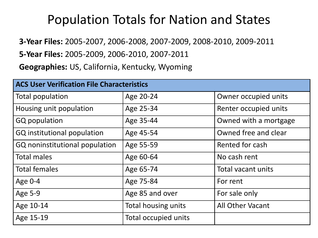#### Population Totals for Nation and States

**3-Year Files:** 2005-2007, 2006-2008, 2007-2009, 2008-2010, 2009-2011

**5-Year Files:** 2005-2009, 2006-2010, 2007-2011

**Geographies:** US, California, Kentucky, Wyoming

| <b>ACS User Verification File Characteristics</b> |                             |                       |  |  |
|---------------------------------------------------|-----------------------------|-----------------------|--|--|
| Total population                                  | Age 20-24                   | Owner occupied units  |  |  |
| Housing unit population                           | Age 25-34                   | Renter occupied units |  |  |
| GQ population                                     | Age 35-44                   | Owned with a mortgage |  |  |
| GQ institutional population                       | Age 45-54                   | Owned free and clear  |  |  |
| GQ noninstitutional population                    | Age 55-59                   | Rented for cash       |  |  |
| <b>Total males</b>                                | Age 60-64                   | No cash rent          |  |  |
| <b>Total females</b>                              | Age 65-74                   | Total vacant units    |  |  |
| Age 0-4                                           | Age 75-84                   | For rent              |  |  |
| Age 5-9                                           | Age 85 and over             | For sale only         |  |  |
| Age 10-14                                         | Total housing units         | All Other Vacant      |  |  |
| Age 15-19                                         | <b>Total occupied units</b> |                       |  |  |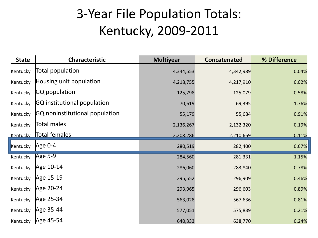### 3-Year File Population Totals: Kentucky, 2009-2011

| <b>State</b> | <b>Characteristic</b>          | <b>Multiyear</b> | <b>Concatenated</b> | % Difference |
|--------------|--------------------------------|------------------|---------------------|--------------|
| Kentucky     | Total population               | 4,344,553        | 4,342,989           | 0.04%        |
| Kentucky     | Housing unit population        | 4,218,755        | 4,217,910           | 0.02%        |
| Kentucky     | <b>GQ</b> population           | 125,798          | 125,079             | 0.58%        |
| Kentucky     | GQ institutional population    | 70,619           | 69,395              | 1.76%        |
| Kentucky     | GQ noninstitutional population | 55,179           | 55,684              | 0.91%        |
| Kentucky     | Total males                    | 2,136,267        | 2,132,320           | 0.19%        |
|              | Kentucky Total females         | 2.208.286        | 2.210.669           | 0.11%        |
| Kentucky     | Age 0-4                        | 280,519          | 282,400             | 0.67%        |
| Kentucky     | Age 5-9                        | 284,560          | 281,331             | 1.15%        |
| Kentucky     | Age 10-14                      | 286,060          | 283,840             | 0.78%        |
| Kentucky     | Age 15-19                      | 295,552          | 296,909             | 0.46%        |
| Kentucky     | Age 20-24                      | 293,965          | 296,603             | 0.89%        |
| Kentucky     | Age 25-34                      | 563,028          | 567,636             | 0.81%        |
| Kentucky     | Age 35-44                      | 577,051          | 575,839             | 0.21%        |
|              | Kentucky Age 45-54             | 640,333          | 638,770             | 0.24%        |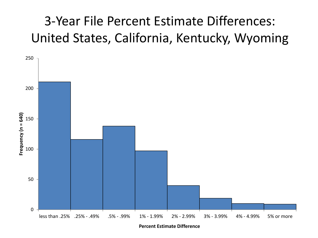### 3-Year File Percent Estimate Differences: United States, California, Kentucky, Wyoming



**Percent Estimate Difference**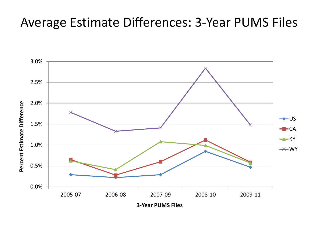#### Average Estimate Differences: 3-Year PUMS Files

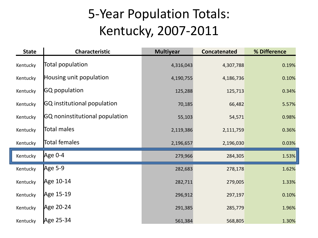### 5-Year Population Totals: Kentucky, 2007-2011

| <b>State</b> | Characteristic                 | <b>Multiyear</b> | <b>Concatenated</b> | % Difference |
|--------------|--------------------------------|------------------|---------------------|--------------|
| Kentucky     | Total population               | 4,316,043        | 4,307,788           | 0.19%        |
| Kentucky     | Housing unit population        | 4,190,755        | 4,186,736           | 0.10%        |
| Kentucky     | <b>GQ</b> population           | 125,288          | 125,713             | 0.34%        |
| Kentucky     | GQ institutional population    | 70,185           | 66,482              | 5.57%        |
| Kentucky     | GQ noninstitutional population | 55,103           | 54,571              | 0.98%        |
| Kentucky     | Total males                    | 2,119,386        | 2,111,759           | 0.36%        |
| Kentucky     | Total females                  | 2,196,657        | 2,196,030           | 0.03%        |
| Kentucky     | Age 0-4                        | 279,966          | 284,305             | 1.53%        |
| Kentucky     | Age 5-9                        | 282,683          | 278,178             | 1.62%        |
| Kentucky     | Age 10-14                      | 282,711          | 279,005             | 1.33%        |
| Kentucky     | Age 15-19                      | 296,912          | 297,197             | 0.10%        |
| Kentucky     | Age 20-24                      | 291,385          | 285,779             | 1.96%        |
| Kentucky     | Age 25-34                      | 561,384          | 568,805             | 1.30%        |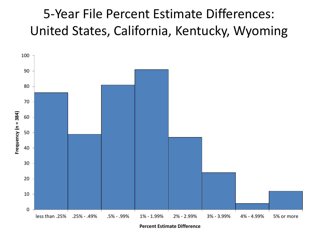#### 5-Year File Percent Estimate Differences: United States, California, Kentucky, Wyoming



**Percent Estimate Difference**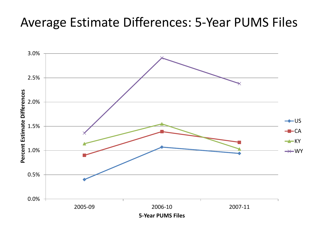#### Average Estimate Differences: 5-Year PUMS Files

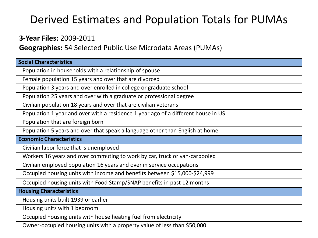#### Derived Estimates and Population Totals for PUMAs

#### **3-Year Files:** 2009-2011

**Geographies:** 54 Selected Public Use Microdata Areas (PUMAs)

| <b>Social Characteristics</b>                                                     |
|-----------------------------------------------------------------------------------|
| Population in households with a relationship of spouse                            |
| Female population 15 years and over that are divorced                             |
| Population 3 years and over enrolled in college or graduate school                |
| Population 25 years and over with a graduate or professional degree               |
| Civilian population 18 years and over that are civilian veterans                  |
| Population 1 year and over with a residence 1 year ago of a different house in US |
| Population that are foreign born                                                  |
| Population 5 years and over that speak a language other than English at home      |
| <b>Economic Characteristics</b>                                                   |
| Civilian labor force that is unemployed                                           |
| Workers 16 years and over commuting to work by car, truck or van-carpooled        |
| Civilian employed population 16 years and over in service occupations             |
| Occupied housing units with income and benefits between \$15,000-\$24,999         |
| Occupied housing units with Food Stamp/SNAP benefits in past 12 months            |
| <b>Housing Characteristics</b>                                                    |
| Housing units built 1939 or earlier                                               |
| Housing units with 1 bedroom                                                      |
| Occupied housing units with house heating fuel from electricity                   |
| Owner-occupied housing units with a property value of less than \$50,000          |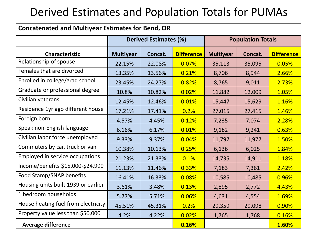#### Derived Estimates and Population Totals for PUMAs

| <b>Concatenated and Multiyear Estimates for Bend, OR</b> |                              |         |                   |                  |         |                          |  |
|----------------------------------------------------------|------------------------------|---------|-------------------|------------------|---------|--------------------------|--|
|                                                          | <b>Derived Estimates (%)</b> |         |                   |                  |         | <b>Population Totals</b> |  |
| <b>Characteristic</b>                                    | <b>Multiyear</b>             | Concat. | <b>Difference</b> | <b>Multiyear</b> | Concat. | <b>Difference</b>        |  |
| Relationship of spouse                                   | 22.15%                       | 22.08%  | 0.07%             | 35,113           | 35,095  | 0.05%                    |  |
| Females that are divorced                                | 13.35%                       | 13.56%  | 0.21%             | 8,706            | 8,944   | 2.66%                    |  |
| Enrolled in college/grad school                          | 23.45%                       | 24.27%  | 0.82%             | 8,765            | 9,011   | 2.73%                    |  |
| Graduate or professional degree                          | 10.8%                        | 10.82%  | 0.02%             | 11,882           | 12,009  | 1.05%                    |  |
| Civilian veterans                                        | 12.45%                       | 12.46%  | 0.01%             | 15,447           | 15,629  | 1.16%                    |  |
| Residence 1yr ago different house                        | 17.21%                       | 17.41%  | 0.2%              | 27,015           | 27,415  | 1.46%                    |  |
| Foreign born                                             | 4.57%                        | 4.45%   | 0.12%             | 7,235            | 7,074   | 2.28%                    |  |
| Speak non-English language                               | 6.16%                        | 6.17%   | 0.01%             | 9,182            | 9,241   | 0.63%                    |  |
| Civilian labor force unemployed                          | 9.33%                        | 9.37%   | 0.04%             | 11,797           | 11,977  | 1.50%                    |  |
| Commuters by car, truck or van                           | 10.38%                       | 10.13%  | 0.25%             | 6,136            | 6,025   | 1.84%                    |  |
| Employed in service occupations                          | 21.23%                       | 21.33%  | 0.1%              | 14,735           | 14,911  | 1.18%                    |  |
| Income/benefits \$15,000-\$24,999                        | 11.13%                       | 11.46%  | 0.33%             | 7,183            | 7,361   | 2.42%                    |  |
| Food Stamp/SNAP benefits                                 | 16.41%                       | 16.33%  | 0.08%             | 10,585           | 10,485  | 0.96%                    |  |
| Housing units built 1939 or earlier                      | 3.61%                        | 3.48%   | 0.13%             | 2,895            | 2,772   | 4.43%                    |  |
| 1 bedroom households                                     | 5.77%                        | 5.71%   | 0.06%             | 4,631            | 4,554   | 1.69%                    |  |
| House heating fuel from electricity                      | 45.51%                       | 45.31%  | 0.2%              | 29,359           | 29,098  | 0.90%                    |  |
| Property value less than \$50,000                        | 4.2%                         | 4.22%   | 0.02%             | 1,765            | 1,768   | 0.16%                    |  |
| <b>Average difference</b><br>0.16%                       |                              |         |                   |                  |         | 1.60%                    |  |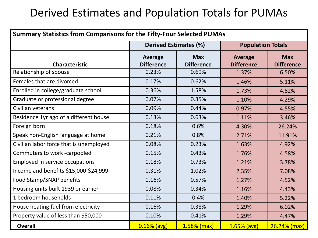#### Derived Estimates and Population Totals for PUMAs

| <b>Summary Statistics from Comparisons for the Fifty-Four Selected PUMAs</b> |                                     |                                 |                                     |                                 |
|------------------------------------------------------------------------------|-------------------------------------|---------------------------------|-------------------------------------|---------------------------------|
|                                                                              | <b>Derived Estimates (%)</b>        |                                 | <b>Population Totals</b>            |                                 |
| <b>Characteristic</b>                                                        | <b>Average</b><br><b>Difference</b> | <b>Max</b><br><b>Difference</b> | <b>Average</b><br><b>Difference</b> | <b>Max</b><br><b>Difference</b> |
| Relationship of spouse                                                       | 0.23%                               | 0.69%                           | 1.37%                               | 6.50%                           |
| Females that are divorced                                                    | 0.17%                               | 0.62%                           | 1.46%                               | 5.11%                           |
| Enrolled in college/graduate school                                          | 0.36%                               | 1.58%                           | 1.73%                               | 4.82%                           |
| Graduate or professional degree                                              | 0.07%                               | 0.35%                           | 1.10%                               | 4.29%                           |
| Civilian veterans                                                            | 0.09%                               | 0.44%                           | 0.97%                               | 4.55%                           |
| Residence 1yr ago of a different house                                       | 0.13%                               | 0.63%                           | 1.11%                               | 3.46%                           |
| Foreign born                                                                 | 0.18%                               | 0.6%                            | 4.30%                               | 26.24%                          |
| Speak non-English language at home                                           | 0.21%                               | 0.8%                            | 2.71%                               | 11.91%                          |
| Civilian labor force that is unemployed                                      | 0.08%                               | 0.23%                           | 1.63%                               | 4.92%                           |
| Commuters to work -carpooled                                                 | 0.15%                               | 0.43%                           | 1.76%                               | 4.58%                           |
| Employed in service occupations                                              | 0.18%                               | 0.73%                           | 1.21%                               | 3.78%                           |
| Income and benefits \$15,000-\$24,999                                        | 0.31%                               | 1.02%                           | 2.35%                               | 7.08%                           |
| Food Stamp/SNAP benefits                                                     | 0.16%                               | 0.57%                           | 1.27%                               | 4.52%                           |
| Housing units built 1939 or earlier                                          | 0.08%                               | 0.34%                           | 1.16%                               | 4.43%                           |
| 1 bedroom households                                                         | 0.11%                               | 0.4%                            | 1.40%                               | 5.22%                           |
| House heating fuel from electricity                                          | 0.16%                               | 0.38%                           | 1.29%                               | 6.02%                           |
| Property value of less than \$50,000                                         | 0.10%                               | 0.41%                           | 1.29%                               | 4.47%                           |
| <b>Overall</b>                                                               | $0.16%$ (avg)                       | $1.58%$ (max)                   | $1.65%$ (avg)                       | $26.24%$ (max)                  |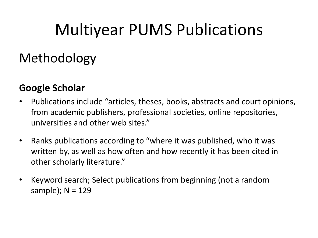### Methodology

#### **Google Scholar**

- Publications include "articles, theses, books, abstracts and court opinions, from academic publishers, professional societies, online repositories, universities and other web sites."
- Ranks publications according to "where it was published, who it was written by, as well as how often and how recently it has been cited in other scholarly literature."
- Keyword search; Select publications from beginning (not a random sample); N = 129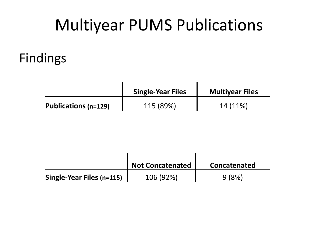#### Findings

|                             | <b>Single-Year Files</b> | <b>Multiyear Files</b> |  |
|-----------------------------|--------------------------|------------------------|--|
| <b>Publications (n=129)</b> | 115 (89%)                | 14 (11%)               |  |

|                           | <b>Not Concatenated</b> | Concatenated |
|---------------------------|-------------------------|--------------|
| Single-Year Files (n=115) | 106 (92%)               | 9 (8%)       |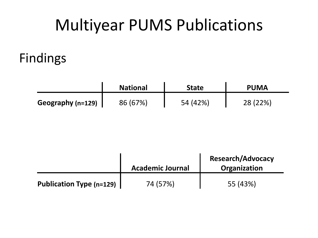#### Findings

|                   | <b>National</b> | State    | <b>PUMA</b> |
|-------------------|-----------------|----------|-------------|
| Geography (n=129) | 86 (67%)        | 54 (42%) | 28 (22%)    |

|                                 | <b>Academic Journal</b> | <b>Research/Advocacy</b><br>Organization |
|---------------------------------|-------------------------|------------------------------------------|
| <b>Publication Type (n=129)</b> | 74 (57%)                | 55 (43%)                                 |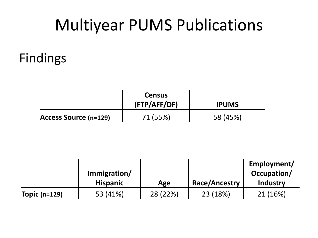#### Findings

|                              | <b>Census</b><br>(FTP/AFF/DF) | <b>IPUMS</b> |
|------------------------------|-------------------------------|--------------|
| <b>Access Source (n=129)</b> | 71 (55%)                      | 58 (45%)     |

|                 |                 |          |                      | Employment/     |
|-----------------|-----------------|----------|----------------------|-----------------|
|                 | Immigration/    |          |                      | Occupation/     |
|                 | <b>Hispanic</b> | Age      | <b>Race/Ancestry</b> | <b>Industry</b> |
| Topic $(n=129)$ | 53 (41%)        | 28 (22%) | 23 (18%)             | 21 (16%)        |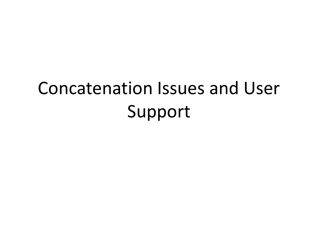# Concatenation Issues and User Support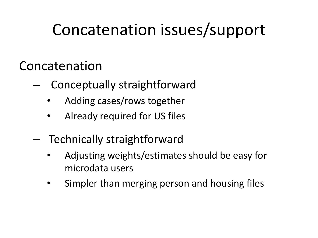## Concatenation issues/support

#### Concatenation

- Conceptually straightforward
	- Adding cases/rows together
	- Already required for US files
- Technically straightforward
	- Adjusting weights/estimates should be easy for microdata users
	- Simpler than merging person and housing files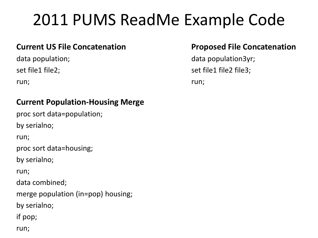## 2011 PUMS ReadMe Example Code

#### **Current US File Concatenation**

data population; set file1 file2;

run;

#### **Current Population-Housing Merge**

proc sort data=population; by serialno; run; proc sort data=housing; by serialno; run; data combined; merge population (in=pop) housing; by serialno; if pop; run;

#### **Proposed File Concatenation**

data population3yr; set file1 file2 file3; run;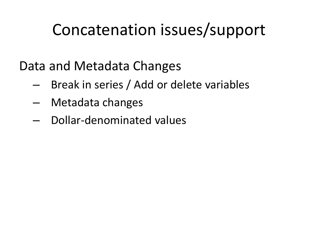## Concatenation issues/support

Data and Metadata Changes

- Break in series / Add or delete variables
- Metadata changes
- Dollar-denominated values